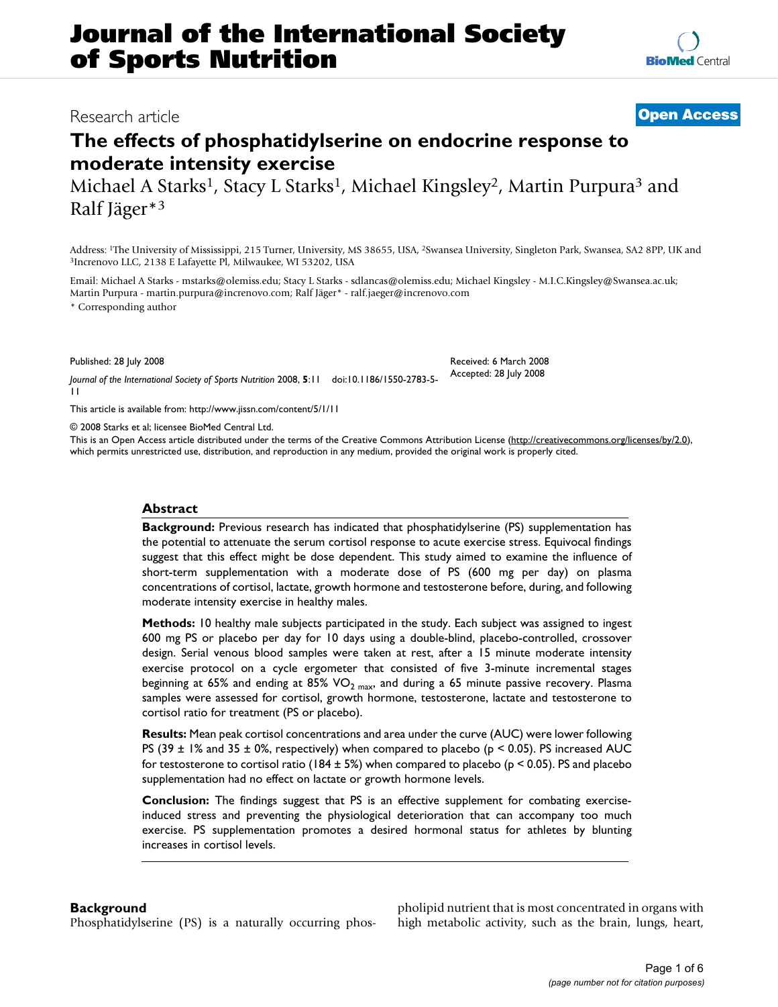## Research article **[Open Access](http://www.biomedcentral.com/info/about/charter/)**

# **The effects of phosphatidylserine on endocrine response to moderate intensity exercise**

Michael A Starks<sup>1</sup>, Stacy L Starks<sup>1</sup>, Michael Kingsley<sup>2</sup>, Martin Purpura<sup>3</sup> and Ralf Jäger\*3

Address: <sup>1</sup>The University of Mississippi, 215 Turner, University, MS 38655, USA, <sup>2</sup>Swansea University, Singleton Park, Swansea, SA2 8PP, UK and <sup>3</sup>Increnovo LLC, 2138 E Lafayette Pl, Milwaukee, WI 53202, USA

Email: Michael A Starks - mstarks@olemiss.edu; Stacy L Starks - sdlancas@olemiss.edu; Michael Kingsley - M.I.C.Kingsley@Swansea.ac.uk; Martin Purpura - martin.purpura@increnovo.com; Ralf Jäger\* - ralf.jaeger@increnovo.com \* Corresponding author

Published: 28 July 2008

*Journal of the International Society of Sports Nutrition* 2008, **5**:11 doi:10.1186/1550-2783-5- 11

[This article is available from: http://www.jissn.com/content/5/1/11](http://www.jissn.com/content/5/1/11)

© 2008 Starks et al; licensee BioMed Central Ltd.

This is an Open Access article distributed under the terms of the Creative Commons Attribution License [\(http://creativecommons.org/licenses/by/2.0\)](http://creativecommons.org/licenses/by/2.0), which permits unrestricted use, distribution, and reproduction in any medium, provided the original work is properly cited.

#### **Abstract**

**Background:** Previous research has indicated that phosphatidylserine (PS) supplementation has the potential to attenuate the serum cortisol response to acute exercise stress. Equivocal findings suggest that this effect might be dose dependent. This study aimed to examine the influence of short-term supplementation with a moderate dose of PS (600 mg per day) on plasma concentrations of cortisol, lactate, growth hormone and testosterone before, during, and following moderate intensity exercise in healthy males.

**Methods:** 10 healthy male subjects participated in the study. Each subject was assigned to ingest 600 mg PS or placebo per day for 10 days using a double-blind, placebo-controlled, crossover design. Serial venous blood samples were taken at rest, after a 15 minute moderate intensity exercise protocol on a cycle ergometer that consisted of five 3-minute incremental stages beginning at 65% and ending at 85% VO<sub>2 max</sub>, and during a 65 minute passive recovery. Plasma samples were assessed for cortisol, growth hormone, testosterone, lactate and testosterone to cortisol ratio for treatment (PS or placebo).

**Results:** Mean peak cortisol concentrations and area under the curve (AUC) were lower following PS (39  $\pm$  1% and 35  $\pm$  0%, respectively) when compared to placebo (p < 0.05). PS increased AUC for testosterone to cortisol ratio (184  $\pm$  5%) when compared to placebo (p < 0.05). PS and placebo supplementation had no effect on lactate or growth hormone levels.

**Conclusion:** The findings suggest that PS is an effective supplement for combating exerciseinduced stress and preventing the physiological deterioration that can accompany too much exercise. PS supplementation promotes a desired hormonal status for athletes by blunting increases in cortisol levels.

#### **Background**

Phosphatidylserine (PS) is a naturally occurring phos-

pholipid nutrient that is most concentrated in organs with high metabolic activity, such as the brain, lungs, heart,

Received: 6 March 2008 Accepted: 28 July 2008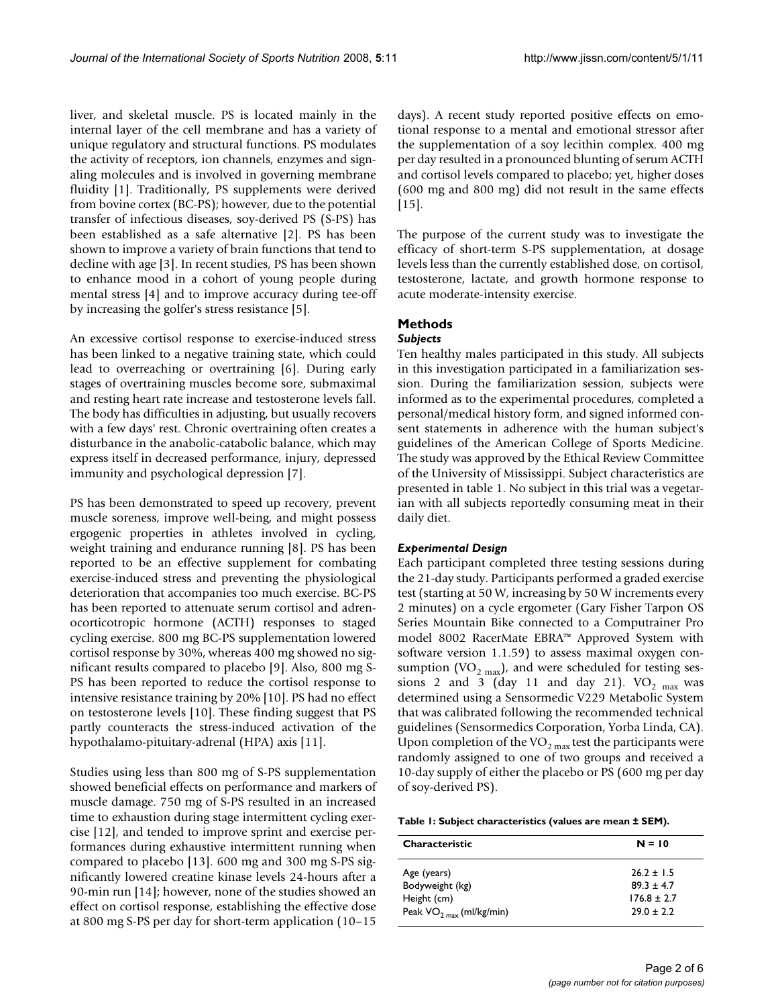liver, and skeletal muscle. PS is located mainly in the internal layer of the cell membrane and has a variety of unique regulatory and structural functions. PS modulates the activity of receptors, ion channels, enzymes and signaling molecules and is involved in governing membrane fluidity [1]. Traditionally, PS supplements were derived from bovine cortex (BC-PS); however, due to the potential transfer of infectious diseases, soy-derived PS (S-PS) has been established as a safe alternative [2]. PS has been shown to improve a variety of brain functions that tend to decline with age [3]. In recent studies, PS has been shown to enhance mood in a cohort of young people during mental stress [4] and to improve accuracy during tee-off by increasing the golfer's stress resistance [5].

An excessive cortisol response to exercise-induced stress has been linked to a negative training state, which could lead to overreaching or overtraining [6]. During early stages of overtraining muscles become sore, submaximal and resting heart rate increase and testosterone levels fall. The body has difficulties in adjusting, but usually recovers with a few days' rest. Chronic overtraining often creates a disturbance in the anabolic-catabolic balance, which may express itself in decreased performance, injury, depressed immunity and psychological depression [7].

PS has been demonstrated to speed up recovery, prevent muscle soreness, improve well-being, and might possess ergogenic properties in athletes involved in cycling, weight training and endurance running [8]. PS has been reported to be an effective supplement for combating exercise-induced stress and preventing the physiological deterioration that accompanies too much exercise. BC-PS has been reported to attenuate serum cortisol and adrenocorticotropic hormone (ACTH) responses to staged cycling exercise. 800 mg BC-PS supplementation lowered cortisol response by 30%, whereas 400 mg showed no significant results compared to placebo [9]. Also, 800 mg S-PS has been reported to reduce the cortisol response to intensive resistance training by 20% [10]. PS had no effect on testosterone levels [10]. These finding suggest that PS partly counteracts the stress-induced activation of the hypothalamo-pituitary-adrenal (HPA) axis [11].

Studies using less than 800 mg of S-PS supplementation showed beneficial effects on performance and markers of muscle damage. 750 mg of S-PS resulted in an increased time to exhaustion during stage intermittent cycling exercise [12], and tended to improve sprint and exercise performances during exhaustive intermittent running when compared to placebo [13]. 600 mg and 300 mg S-PS significantly lowered creatine kinase levels 24-hours after a 90-min run [14]; however, none of the studies showed an effect on cortisol response, establishing the effective dose at 800 mg S-PS per day for short-term application (10–15

days). A recent study reported positive effects on emotional response to a mental and emotional stressor after the supplementation of a soy lecithin complex. 400 mg per day resulted in a pronounced blunting of serum ACTH and cortisol levels compared to placebo; yet, higher doses (600 mg and 800 mg) did not result in the same effects [15].

The purpose of the current study was to investigate the efficacy of short-term S-PS supplementation, at dosage levels less than the currently established dose, on cortisol, testosterone, lactate, and growth hormone response to acute moderate-intensity exercise.

### **Methods**

#### *Subjects*

Ten healthy males participated in this study. All subjects in this investigation participated in a familiarization session. During the familiarization session, subjects were informed as to the experimental procedures, completed a personal/medical history form, and signed informed consent statements in adherence with the human subject's guidelines of the American College of Sports Medicine. The study was approved by the Ethical Review Committee of the University of Mississippi. Subject characteristics are presented in table 1. No subject in this trial was a vegetarian with all subjects reportedly consuming meat in their daily diet.

#### *Experimental Design*

Each participant completed three testing sessions during the 21-day study. Participants performed a graded exercise test (starting at 50 W, increasing by 50 W increments every 2 minutes) on a cycle ergometer (Gary Fisher Tarpon OS Series Mountain Bike connected to a Computrainer Pro model 8002 RacerMate EBRA™ Approved System with software version 1.1.59) to assess maximal oxygen consumption (VO<sub>2 max</sub>), and were scheduled for testing sessions 2 and 3 (day 11 and day 21). VO<sub>2 max</sub> was determined using a Sensormedic V229 Metabolic System that was calibrated following the recommended technical guidelines (Sensormedics Corporation, Yorba Linda, CA). Upon completion of the  $VO<sub>2 max</sub>$  test the participants were randomly assigned to one of two groups and received a 10-day supply of either the placebo or PS (600 mg per day of soy-derived PS).

#### **Table 1: Subject characteristics (values are mean ± SEM).**

| $N = 10$      |
|---------------|
| $26.2 + 1.5$  |
| $89.3 + 4.7$  |
| $176.8 + 2.7$ |
| $79.0 + 2.2$  |
|               |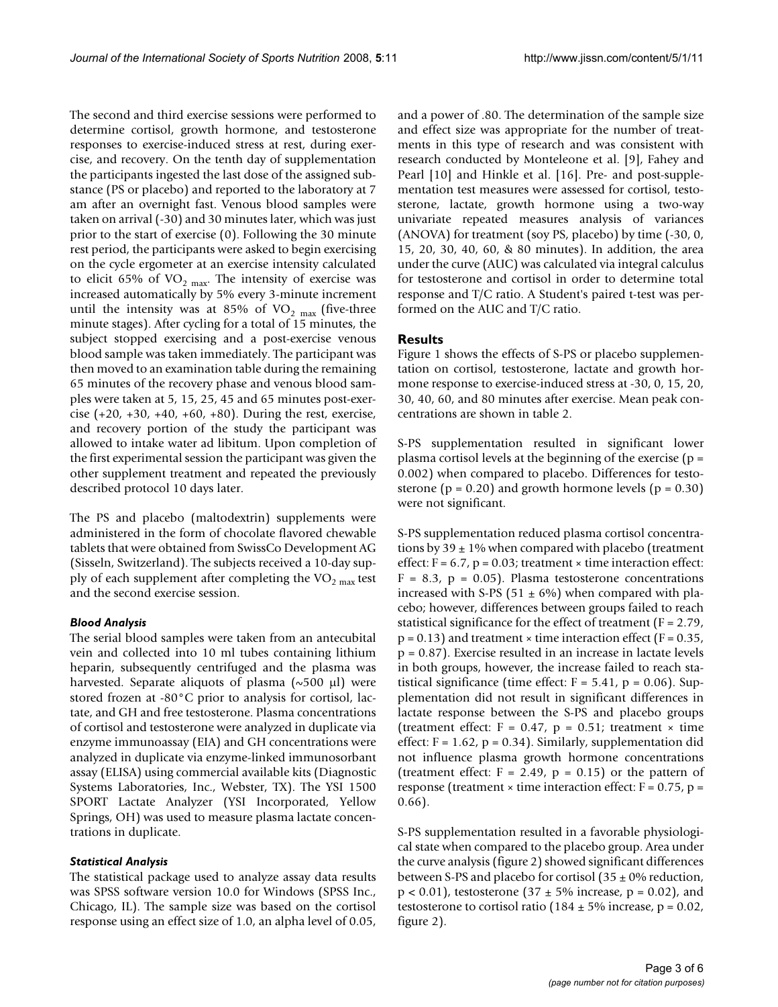The second and third exercise sessions were performed to determine cortisol, growth hormone, and testosterone responses to exercise-induced stress at rest, during exercise, and recovery. On the tenth day of supplementation the participants ingested the last dose of the assigned substance (PS or placebo) and reported to the laboratory at 7 am after an overnight fast. Venous blood samples were taken on arrival (-30) and 30 minutes later, which was just prior to the start of exercise (0). Following the 30 minute rest period, the participants were asked to begin exercising on the cycle ergometer at an exercise intensity calculated to elicit 65% of  $VO<sub>2 max</sub>$ . The intensity of exercise was increased automatically by 5% every 3-minute increment until the intensity was at 85% of  $VO<sub>2 max</sub>$  (five-three minute stages). After cycling for a total of 15 minutes, the subject stopped exercising and a post-exercise venous blood sample was taken immediately. The participant was then moved to an examination table during the remaining 65 minutes of the recovery phase and venous blood samples were taken at 5, 15, 25, 45 and 65 minutes post-exercise (+20, +30, +40, +60, +80). During the rest, exercise, and recovery portion of the study the participant was allowed to intake water ad libitum. Upon completion of the first experimental session the participant was given the other supplement treatment and repeated the previously described protocol 10 days later.

The PS and placebo (maltodextrin) supplements were administered in the form of chocolate flavored chewable tablets that were obtained from SwissCo Development AG (Sisseln, Switzerland). The subjects received a 10-day supply of each supplement after completing the  $VO<sub>2 max</sub>$  test and the second exercise session.

#### *Blood Analysis*

The serial blood samples were taken from an antecubital vein and collected into 10 ml tubes containing lithium heparin, subsequently centrifuged and the plasma was harvested. Separate aliquots of plasma  $(\sim 500 \mu l)$  were stored frozen at -80°C prior to analysis for cortisol, lactate, and GH and free testosterone. Plasma concentrations of cortisol and testosterone were analyzed in duplicate via enzyme immunoassay (EIA) and GH concentrations were analyzed in duplicate via enzyme-linked immunosorbant assay (ELISA) using commercial available kits (Diagnostic Systems Laboratories, Inc., Webster, TX). The YSI 1500 SPORT Lactate Analyzer (YSI Incorporated, Yellow Springs, OH) was used to measure plasma lactate concentrations in duplicate.

#### *Statistical Analysis*

The statistical package used to analyze assay data results was SPSS software version 10.0 for Windows (SPSS Inc., Chicago, IL). The sample size was based on the cortisol response using an effect size of 1.0, an alpha level of 0.05,

and a power of .80. The determination of the sample size and effect size was appropriate for the number of treatments in this type of research and was consistent with research conducted by Monteleone et al. [9], Fahey and Pearl [10] and Hinkle et al. [16]. Pre- and post-supplementation test measures were assessed for cortisol, testosterone, lactate, growth hormone using a two-way univariate repeated measures analysis of variances (ANOVA) for treatment (soy PS, placebo) by time (-30, 0, 15, 20, 30, 40, 60, & 80 minutes). In addition, the area under the curve (AUC) was calculated via integral calculus for testosterone and cortisol in order to determine total response and T/C ratio. A Student's paired t-test was performed on the AUC and T/C ratio.

#### **Results**

Figure 1 shows the effects of S-PS or placebo supplementation on cortisol, testosterone, lactate and growth hormone response to exercise-induced stress at -30, 0, 15, 20, 30, 40, 60, and 80 minutes after exercise. Mean peak concentrations are shown in table 2.

S-PS supplementation resulted in significant lower plasma cortisol levels at the beginning of the exercise  $(p =$ 0.002) when compared to placebo. Differences for testosterone ( $p = 0.20$ ) and growth hormone levels ( $p = 0.30$ ) were not significant.

S-PS supplementation reduced plasma cortisol concentrations by  $39 \pm 1\%$  when compared with placebo (treatment effect:  $F = 6.7$ ,  $p = 0.03$ ; treatment  $\times$  time interaction effect:  $F = 8.3$ ,  $p = 0.05$ ). Plasma testosterone concentrations increased with S-PS (51  $\pm$  6%) when compared with placebo; however, differences between groups failed to reach statistical significance for the effect of treatment ( $F = 2.79$ ,  $p = 0.13$ ) and treatment  $\times$  time interaction effect (F = 0.35, p = 0.87). Exercise resulted in an increase in lactate levels in both groups, however, the increase failed to reach statistical significance (time effect:  $F = 5.41$ ,  $p = 0.06$ ). Supplementation did not result in significant differences in lactate response between the S-PS and placebo groups (treatment effect:  $F = 0.47$ ,  $p = 0.51$ ; treatment  $\times$  time effect:  $F = 1.62$ ,  $p = 0.34$ ). Similarly, supplementation did not influence plasma growth hormone concentrations (treatment effect:  $F = 2.49$ ,  $p = 0.15$ ) or the pattern of response (treatment  $\times$  time interaction effect: F = 0.75, p = 0.66).

S-PS supplementation resulted in a favorable physiological state when compared to the placebo group. Area under the curve analysis (figure 2) showed significant differences between S-PS and placebo for cortisol  $(35 \pm 0\%$  reduction,  $p < 0.01$ ), testosterone (37  $\pm$  5% increase, p = 0.02), and testosterone to cortisol ratio (184  $\pm$  5% increase, p = 0.02, figure 2).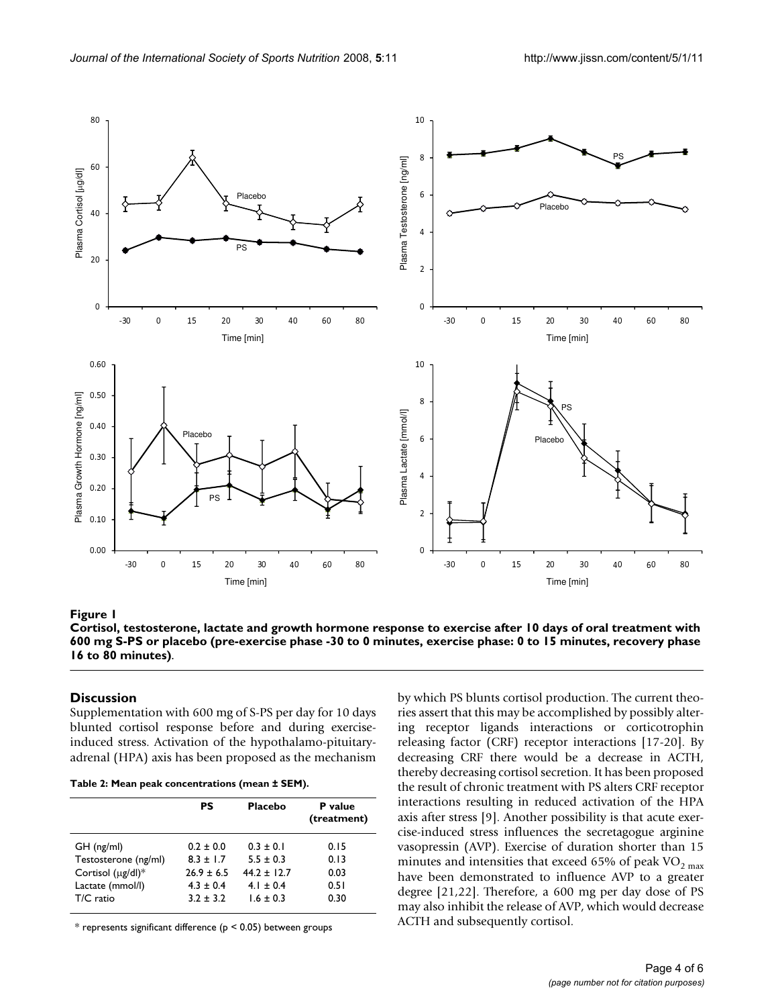

Cortisol, testosterone, lactate and growth ho placebo (pre-exercise phase -30 to 0 **Figure 1** minutes, exercise phase: 0 to 15 minut rmone response to exercise after 10 days es, recovery phase 16 to 80 minutes) of oral treatment with 600 mg S-PS or

**Cortisol, testosterone, lactate and growth hormone response to exercise after 10 days of oral treatment with 600 mg S-PS or placebo (pre-exercise phase -30 to 0 minutes, exercise phase: 0 to 15 minutes, recovery phase 16 to 80 minutes)**.

#### **Discussion**

Supplementation with 600 mg of S-PS per day for 10 days blunted cortisol response before and during exerciseinduced stress. Activation of the hypothalamo-pituitaryadrenal (HPA) axis has been proposed as the mechanism

**Table 2: Mean peak concentrations (mean ± SEM).**

| <b>Placebo</b><br>PS<br>P value<br>(treatment)<br>$0.2 \pm 0.0$<br>$0.3 \pm 0.1$<br>$GH$ (ng/ml)<br>0.15<br>Testosterone (ng/ml)<br>$8.3 + 1.7$<br>$5.5 \pm 0.3$<br>0.13<br>Cortisol $(\mu g/d)$ <sup>*</sup><br>$26.9 \pm 6.5$<br>$44.2 + 12.7$<br>0.03<br>Lactate (mmol/l)<br>$4.3 \pm 0.4$<br>$4.1 \pm 0.4$<br>0.51 |           |             |               |      |
|------------------------------------------------------------------------------------------------------------------------------------------------------------------------------------------------------------------------------------------------------------------------------------------------------------------------|-----------|-------------|---------------|------|
|                                                                                                                                                                                                                                                                                                                        |           |             |               |      |
|                                                                                                                                                                                                                                                                                                                        | T/C ratio | $3.2 + 3.2$ | $1.6 \pm 0.3$ | 0.30 |

 $*$  represents significant difference ( $p < 0.05$ ) between groups

by which PS blunts cortisol production. The current theories assert that this may be accomplished by possibly altering receptor ligands interactions or corticotrophin releasing factor (CRF) receptor interactions [17-20]. By decreasing CRF there would be a decrease in ACTH, thereby decreasing cortisol secretion. It has been proposed the result of chronic treatment with PS alters CRF receptor interactions resulting in reduced activation of the HPA axis after stress [9]. Another possibility is that acute exercise-induced stress influences the secretagogue arginine vasopressin (AVP). Exercise of duration shorter than 15 minutes and intensities that exceed 65% of peak  $\rm VO_{2~max}$ have been demonstrated to influence AVP to a greater degree [21,22]. Therefore, a 600 mg per day dose of PS may also inhibit the release of AVP, which would decrease ACTH and subsequently cortisol.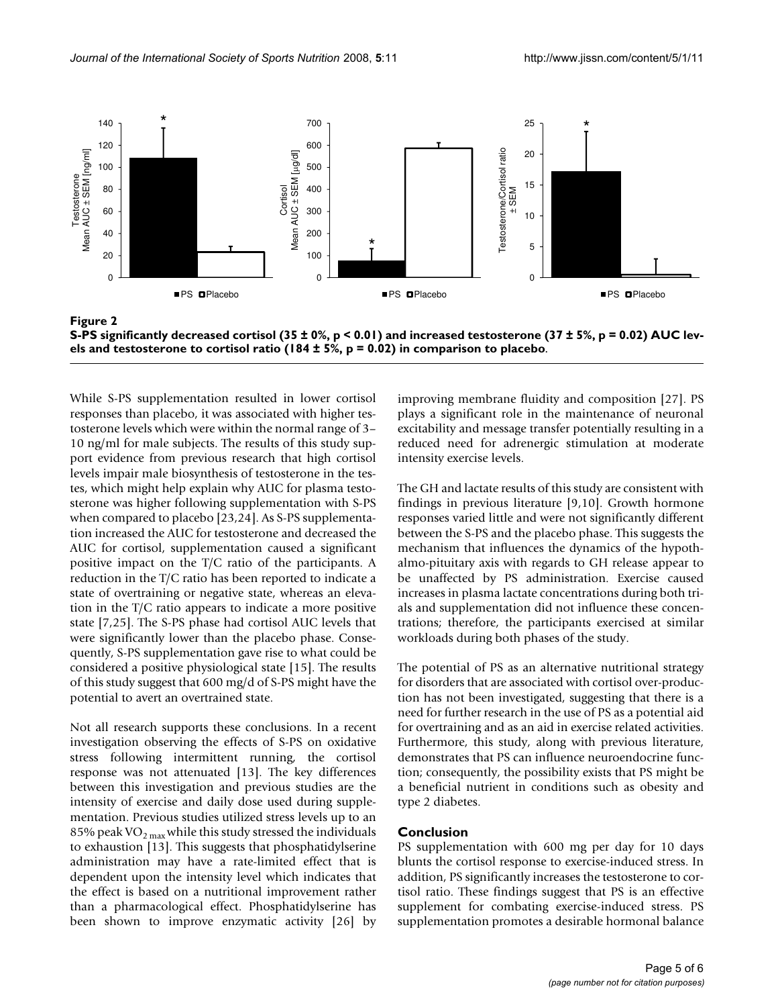

**S-PS significantly decreased cortisol (35 ± 0%, p < 0.01) and increased testosterone (37 ± 5%, p = 0.02) AUC levels and testosterone to cortisol ratio (184 ± 5%, p = 0.02) in comparison to placebo**.

While S-PS supplementation resulted in lower cortisol responses than placebo, it was associated with higher testosterone levels which were within the normal range of 3– 10 ng/ml for male subjects. The results of this study support evidence from previous research that high cortisol levels impair male biosynthesis of testosterone in the testes, which might help explain why AUC for plasma testosterone was higher following supplementation with S-PS when compared to placebo [23,24]. As S-PS supplementation increased the AUC for testosterone and decreased the AUC for cortisol, supplementation caused a significant positive impact on the T/C ratio of the participants. A reduction in the T/C ratio has been reported to indicate a state of overtraining or negative state, whereas an elevation in the T/C ratio appears to indicate a more positive state [7,25]. The S-PS phase had cortisol AUC levels that were significantly lower than the placebo phase. Consequently, S-PS supplementation gave rise to what could be considered a positive physiological state [15]. The results of this study suggest that 600 mg/d of S-PS might have the potential to avert an overtrained state.

Not all research supports these conclusions. In a recent investigation observing the effects of S-PS on oxidative stress following intermittent running, the cortisol response was not attenuated [13]. The key differences between this investigation and previous studies are the intensity of exercise and daily dose used during supplementation. Previous studies utilized stress levels up to an 85% peak VO<sub>2 max</sub> while this study stressed the individuals to exhaustion [13]. This suggests that phosphatidylserine administration may have a rate-limited effect that is dependent upon the intensity level which indicates that the effect is based on a nutritional improvement rather than a pharmacological effect. Phosphatidylserine has been shown to improve enzymatic activity [26] by improving membrane fluidity and composition [27]. PS plays a significant role in the maintenance of neuronal excitability and message transfer potentially resulting in a reduced need for adrenergic stimulation at moderate intensity exercise levels.

The GH and lactate results of this study are consistent with findings in previous literature [9,10]. Growth hormone responses varied little and were not significantly different between the S-PS and the placebo phase. This suggests the mechanism that influences the dynamics of the hypothalmo-pituitary axis with regards to GH release appear to be unaffected by PS administration. Exercise caused increases in plasma lactate concentrations during both trials and supplementation did not influence these concentrations; therefore, the participants exercised at similar workloads during both phases of the study.

The potential of PS as an alternative nutritional strategy for disorders that are associated with cortisol over-production has not been investigated, suggesting that there is a need for further research in the use of PS as a potential aid for overtraining and as an aid in exercise related activities. Furthermore, this study, along with previous literature, demonstrates that PS can influence neuroendocrine function; consequently, the possibility exists that PS might be a beneficial nutrient in conditions such as obesity and type 2 diabetes.

#### **Conclusion**

PS supplementation with 600 mg per day for 10 days blunts the cortisol response to exercise-induced stress. In addition, PS significantly increases the testosterone to cortisol ratio. These findings suggest that PS is an effective supplement for combating exercise-induced stress. PS supplementation promotes a desirable hormonal balance